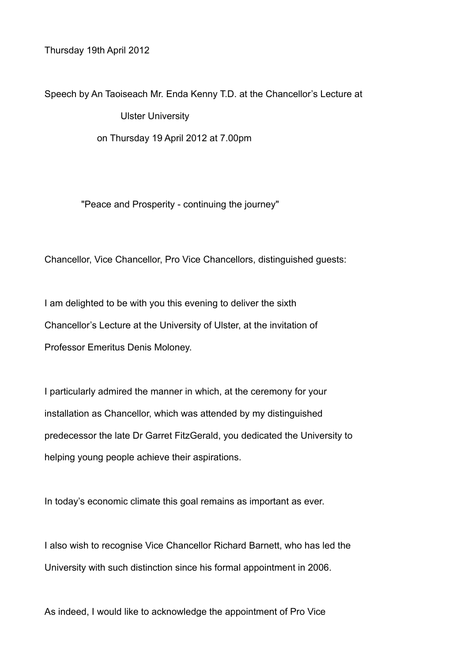Thursday 19th April 2012

Speech by An Taoiseach Mr. Enda Kenny T.D. at the Chancellor's Lecture at Ulster University on Thursday 19 April 2012 at 7.00pm

"Peace and Prosperity - continuing the journey"

Chancellor, Vice Chancellor, Pro Vice Chancellors, distinguished guests:

I am delighted to be with you this evening to deliver the sixth Chancellor's Lecture at the University of Ulster, at the invitation of Professor Emeritus Denis Moloney.

I particularly admired the manner in which, at the ceremony for your installation as Chancellor, which was attended by my distinguished predecessor the late Dr Garret FitzGerald, you dedicated the University to helping young people achieve their aspirations.

In today's economic climate this goal remains as important as ever.

I also wish to recognise Vice Chancellor Richard Barnett, who has led the University with such distinction since his formal appointment in 2006.

As indeed, I would like to acknowledge the appointment of Pro Vice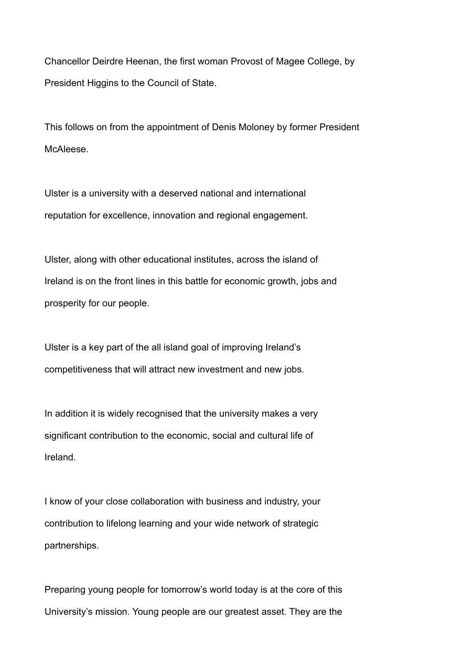Chancellor Deirdre Heenan, the first woman Provost of Magee College, by President Higgins to the Council of State.

This follows on from the appointment of Denis Moloney by former President McAleese.

Ulster is a university with a deserved national and international reputation for excellence, innovation and regional engagement.

Ulster, along with other educational institutes, across the island of Ireland is on the front lines in this battle for economic growth, jobs and prosperity for our people.

Ulster is a key part of the all island goal of improving Ireland's competitiveness that will attract new investment and new jobs.

In addition it is widely recognised that the university makes a very significant contribution to the economic, social and cultural life of Ireland.

I know of your close collaboration with business and industry, your contribution to lifelong learning and your wide network of strategic partnerships.

Preparing young people for tomorrow's world today is at the core of this University's mission. Young people are our greatest asset. They are the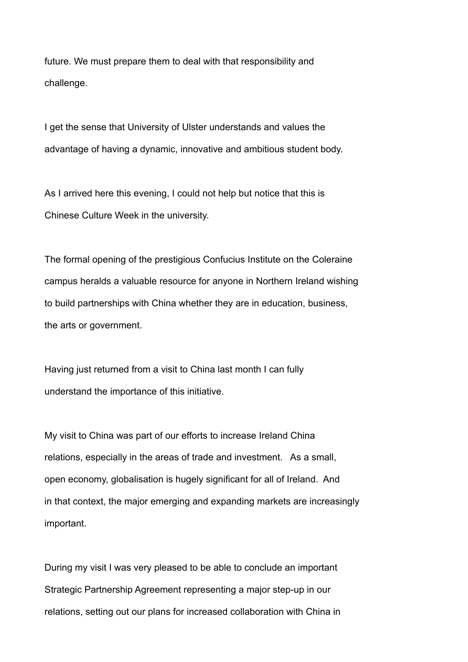future. We must prepare them to deal with that responsibility and challenge.

I get the sense that University of Ulster understands and values the advantage of having a dynamic, innovative and ambitious student body.

As I arrived here this evening, I could not help but notice that this is Chinese Culture Week in the university.

The formal opening of the prestigious Confucius Institute on the Coleraine campus heralds a valuable resource for anyone in Northern Ireland wishing to build partnerships with China whether they are in education, business, the arts or government.

Having just returned from a visit to China last month I can fully understand the importance of this initiative.

My visit to China was part of our efforts to increase Ireland China relations, especially in the areas of trade and investment. As a small, open economy, globalisation is hugely significant for all of Ireland. And in that context, the major emerging and expanding markets are increasingly important.

During my visit I was very pleased to be able to conclude an important Strategic Partnership Agreement representing a major step-up in our relations, setting out our plans for increased collaboration with China in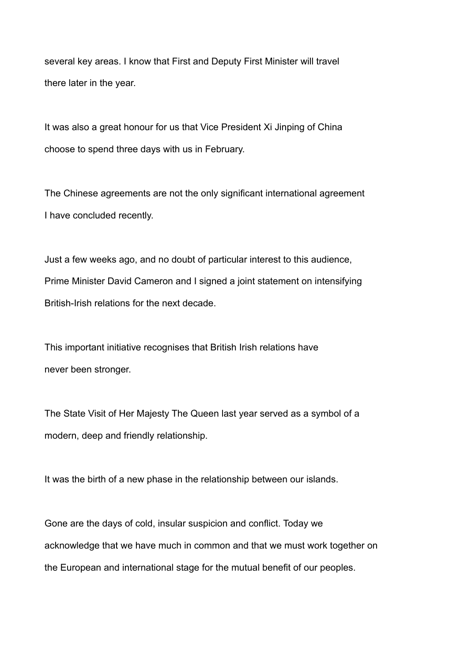several key areas. I know that First and Deputy First Minister will travel there later in the year.

It was also a great honour for us that Vice President Xi Jinping of China choose to spend three days with us in February.

The Chinese agreements are not the only significant international agreement I have concluded recently.

Just a few weeks ago, and no doubt of particular interest to this audience, Prime Minister David Cameron and I signed a joint statement on intensifying British-Irish relations for the next decade.

This important initiative recognises that British Irish relations have never been stronger.

The State Visit of Her Majesty The Queen last year served as a symbol of a modern, deep and friendly relationship.

It was the birth of a new phase in the relationship between our islands.

Gone are the days of cold, insular suspicion and conflict. Today we acknowledge that we have much in common and that we must work together on the European and international stage for the mutual benefit of our peoples.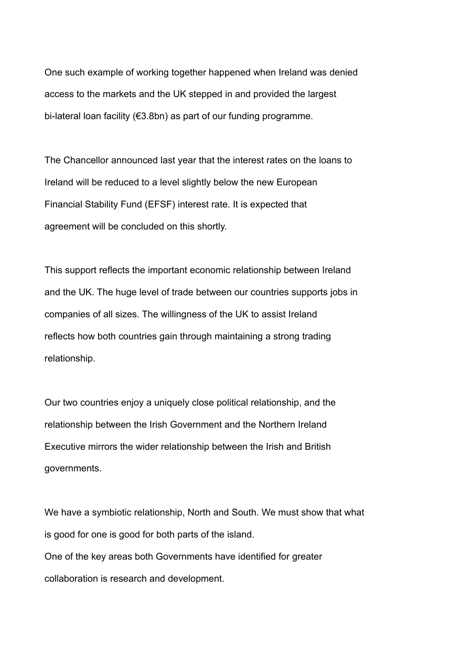One such example of working together happened when Ireland was denied access to the markets and the UK stepped in and provided the largest bi-lateral loan facility (€3.8bn) as part of our funding programme.

The Chancellor announced last year that the interest rates on the loans to Ireland will be reduced to a level slightly below the new European Financial Stability Fund (EFSF) interest rate. It is expected that agreement will be concluded on this shortly.

This support reflects the important economic relationship between Ireland and the UK. The huge level of trade between our countries supports jobs in companies of all sizes. The willingness of the UK to assist Ireland reflects how both countries gain through maintaining a strong trading relationship.

Our two countries enjoy a uniquely close political relationship, and the relationship between the Irish Government and the Northern Ireland Executive mirrors the wider relationship between the Irish and British governments.

We have a symbiotic relationship, North and South. We must show that what is good for one is good for both parts of the island. One of the key areas both Governments have identified for greater collaboration is research and development.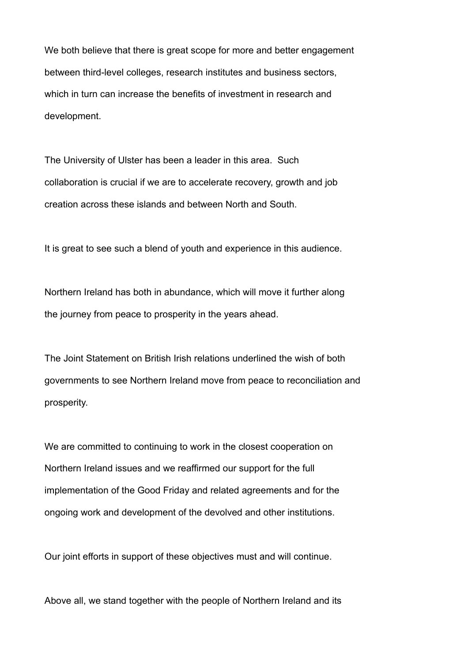We both believe that there is great scope for more and better engagement between third-level colleges, research institutes and business sectors, which in turn can increase the benefits of investment in research and development.

The University of Ulster has been a leader in this area. Such collaboration is crucial if we are to accelerate recovery, growth and job creation across these islands and between North and South.

It is great to see such a blend of youth and experience in this audience.

Northern Ireland has both in abundance, which will move it further along the journey from peace to prosperity in the years ahead.

The Joint Statement on British Irish relations underlined the wish of both governments to see Northern Ireland move from peace to reconciliation and prosperity.

We are committed to continuing to work in the closest cooperation on Northern Ireland issues and we reaffirmed our support for the full implementation of the Good Friday and related agreements and for the ongoing work and development of the devolved and other institutions.

Our joint efforts in support of these objectives must and will continue.

Above all, we stand together with the people of Northern Ireland and its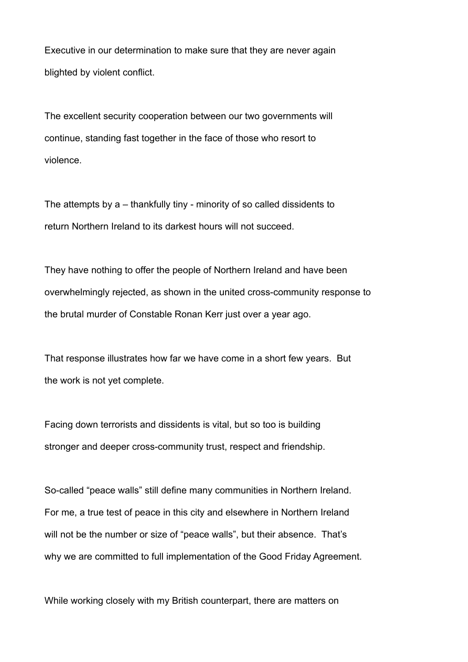Executive in our determination to make sure that they are never again blighted by violent conflict.

The excellent security cooperation between our two governments will continue, standing fast together in the face of those who resort to violence.

The attempts by a – thankfully tiny - minority of so called dissidents to return Northern Ireland to its darkest hours will not succeed.

They have nothing to offer the people of Northern Ireland and have been overwhelmingly rejected, as shown in the united cross-community response to the brutal murder of Constable Ronan Kerr just over a year ago.

That response illustrates how far we have come in a short few years. But the work is not yet complete.

Facing down terrorists and dissidents is vital, but so too is building stronger and deeper cross-community trust, respect and friendship.

So-called "peace walls" still define many communities in Northern Ireland. For me, a true test of peace in this city and elsewhere in Northern Ireland will not be the number or size of "peace walls", but their absence. That's why we are committed to full implementation of the Good Friday Agreement.

While working closely with my British counterpart, there are matters on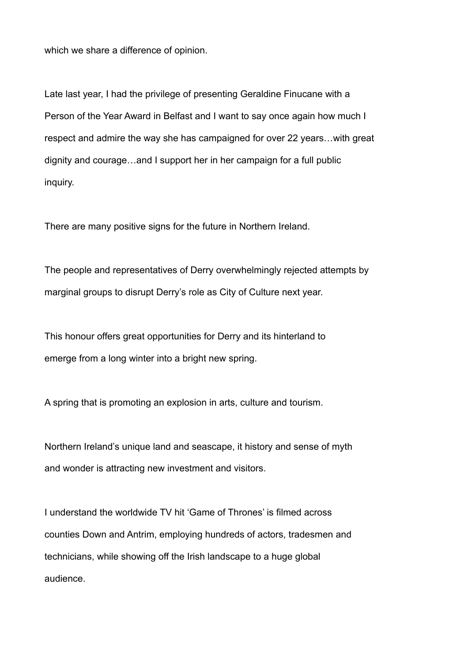which we share a difference of opinion.

Late last year, I had the privilege of presenting Geraldine Finucane with a Person of the Year Award in Belfast and I want to say once again how much I respect and admire the way she has campaigned for over 22 years…with great dignity and courage…and I support her in her campaign for a full public inquiry.

There are many positive signs for the future in Northern Ireland.

The people and representatives of Derry overwhelmingly rejected attempts by marginal groups to disrupt Derry's role as City of Culture next year.

This honour offers great opportunities for Derry and its hinterland to emerge from a long winter into a bright new spring.

A spring that is promoting an explosion in arts, culture and tourism.

Northern Ireland's unique land and seascape, it history and sense of myth and wonder is attracting new investment and visitors.

I understand the worldwide TV hit 'Game of Thrones' is filmed across counties Down and Antrim, employing hundreds of actors, tradesmen and technicians, while showing off the Irish landscape to a huge global audience.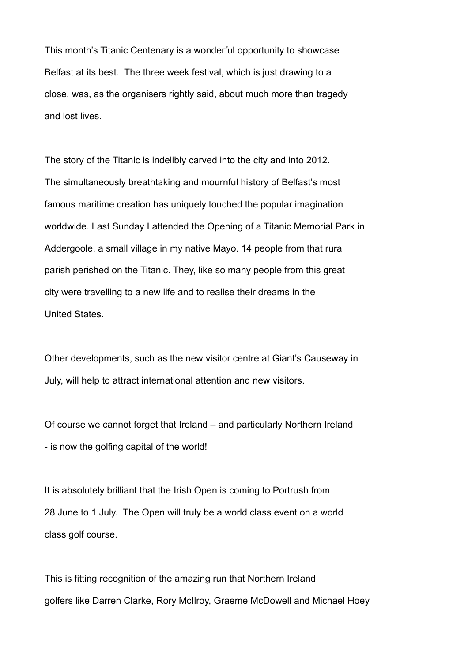This month's Titanic Centenary is a wonderful opportunity to showcase Belfast at its best. The three week festival, which is just drawing to a close, was, as the organisers rightly said, about much more than tragedy and lost lives.

The story of the Titanic is indelibly carved into the city and into 2012. The simultaneously breathtaking and mournful history of Belfast's most famous maritime creation has uniquely touched the popular imagination worldwide. Last Sunday I attended the Opening of a Titanic Memorial Park in Addergoole, a small village in my native Mayo. 14 people from that rural parish perished on the Titanic. They, like so many people from this great city were travelling to a new life and to realise their dreams in the United States.

Other developments, such as the new visitor centre at Giant's Causeway in July, will help to attract international attention and new visitors.

Of course we cannot forget that Ireland – and particularly Northern Ireland - is now the golfing capital of the world!

It is absolutely brilliant that the Irish Open is coming to Portrush from 28 June to 1 July. The Open will truly be a world class event on a world class golf course.

This is fitting recognition of the amazing run that Northern Ireland golfers like Darren Clarke, Rory McIlroy, Graeme McDowell and Michael Hoey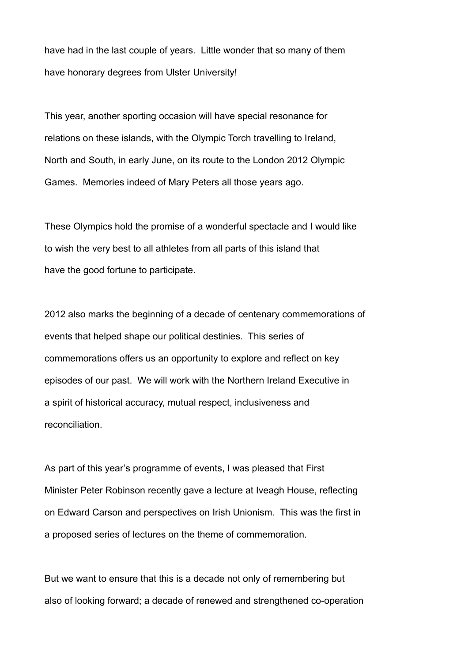have had in the last couple of years. Little wonder that so many of them have honorary degrees from Ulster University!

This year, another sporting occasion will have special resonance for relations on these islands, with the Olympic Torch travelling to Ireland, North and South, in early June, on its route to the London 2012 Olympic Games. Memories indeed of Mary Peters all those years ago.

These Olympics hold the promise of a wonderful spectacle and I would like to wish the very best to all athletes from all parts of this island that have the good fortune to participate.

2012 also marks the beginning of a decade of centenary commemorations of events that helped shape our political destinies. This series of commemorations offers us an opportunity to explore and reflect on key episodes of our past. We will work with the Northern Ireland Executive in a spirit of historical accuracy, mutual respect, inclusiveness and reconciliation.

As part of this year's programme of events, I was pleased that First Minister Peter Robinson recently gave a lecture at Iveagh House, reflecting on Edward Carson and perspectives on Irish Unionism. This was the first in a proposed series of lectures on the theme of commemoration.

But we want to ensure that this is a decade not only of remembering but also of looking forward; a decade of renewed and strengthened co-operation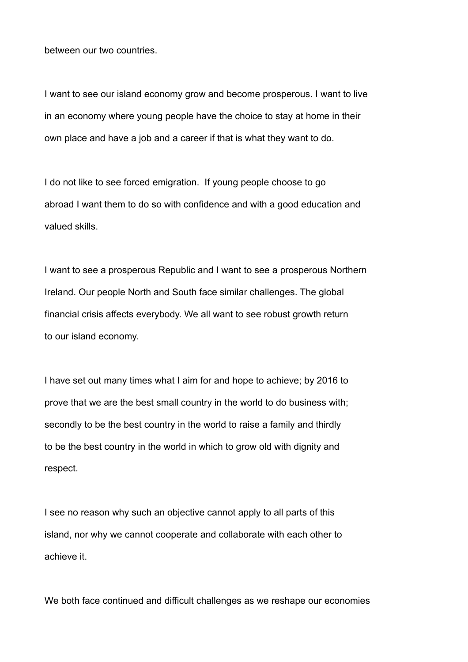between our two countries.

I want to see our island economy grow and become prosperous. I want to live in an economy where young people have the choice to stay at home in their own place and have a job and a career if that is what they want to do.

I do not like to see forced emigration. If young people choose to go abroad I want them to do so with confidence and with a good education and valued skills.

I want to see a prosperous Republic and I want to see a prosperous Northern Ireland. Our people North and South face similar challenges. The global financial crisis affects everybody. We all want to see robust growth return to our island economy.

I have set out many times what I aim for and hope to achieve; by 2016 to prove that we are the best small country in the world to do business with; secondly to be the best country in the world to raise a family and thirdly to be the best country in the world in which to grow old with dignity and respect.

I see no reason why such an objective cannot apply to all parts of this island, nor why we cannot cooperate and collaborate with each other to achieve it.

We both face continued and difficult challenges as we reshape our economies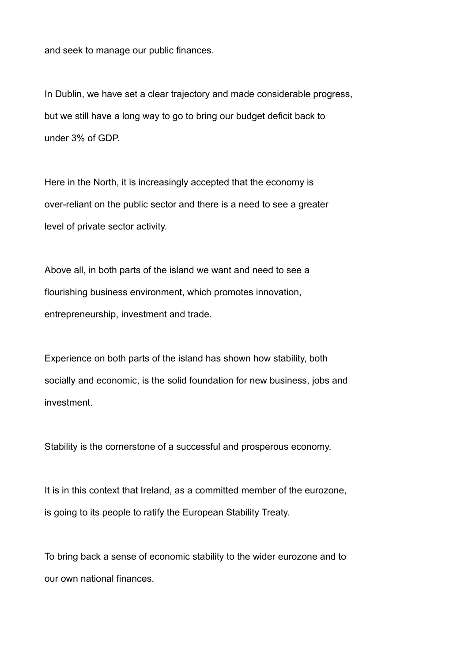and seek to manage our public finances.

In Dublin, we have set a clear trajectory and made considerable progress, but we still have a long way to go to bring our budget deficit back to under 3% of GDP.

Here in the North, it is increasingly accepted that the economy is over-reliant on the public sector and there is a need to see a greater level of private sector activity.

Above all, in both parts of the island we want and need to see a flourishing business environment, which promotes innovation, entrepreneurship, investment and trade.

Experience on both parts of the island has shown how stability, both socially and economic, is the solid foundation for new business, jobs and investment.

Stability is the cornerstone of a successful and prosperous economy.

It is in this context that Ireland, as a committed member of the eurozone, is going to its people to ratify the European Stability Treaty.

To bring back a sense of economic stability to the wider eurozone and to our own national finances.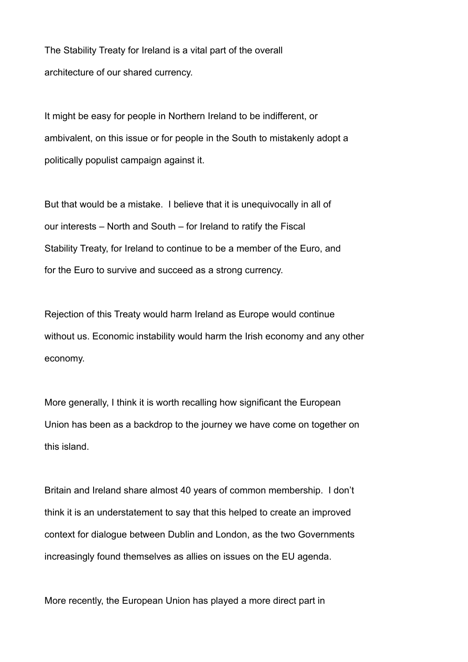The Stability Treaty for Ireland is a vital part of the overall architecture of our shared currency.

It might be easy for people in Northern Ireland to be indifferent, or ambivalent, on this issue or for people in the South to mistakenly adopt a politically populist campaign against it.

But that would be a mistake. I believe that it is unequivocally in all of our interests – North and South – for Ireland to ratify the Fiscal Stability Treaty, for Ireland to continue to be a member of the Euro, and for the Euro to survive and succeed as a strong currency.

Rejection of this Treaty would harm Ireland as Europe would continue without us. Economic instability would harm the Irish economy and any other economy.

More generally, I think it is worth recalling how significant the European Union has been as a backdrop to the journey we have come on together on this island.

Britain and Ireland share almost 40 years of common membership. I don't think it is an understatement to say that this helped to create an improved context for dialogue between Dublin and London, as the two Governments increasingly found themselves as allies on issues on the EU agenda.

More recently, the European Union has played a more direct part in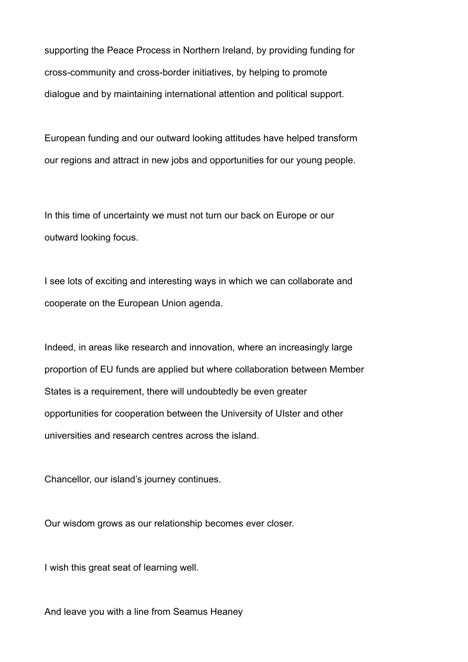supporting the Peace Process in Northern Ireland, by providing funding for cross-community and cross-border initiatives, by helping to promote dialogue and by maintaining international attention and political support.

European funding and our outward looking attitudes have helped transform our regions and attract in new jobs and opportunities for our young people.

In this time of uncertainty we must not turn our back on Europe or our outward looking focus.

I see lots of exciting and interesting ways in which we can collaborate and cooperate on the European Union agenda.

Indeed, in areas like research and innovation, where an increasingly large proportion of EU funds are applied but where collaboration between Member States is a requirement, there will undoubtedly be even greater opportunities for cooperation between the University of UIster and other universities and research centres across the island.

Chancellor, our island's journey continues.

Our wisdom grows as our relationship becomes ever closer.

I wish this great seat of learning well.

And leave you with a line from Seamus Heaney